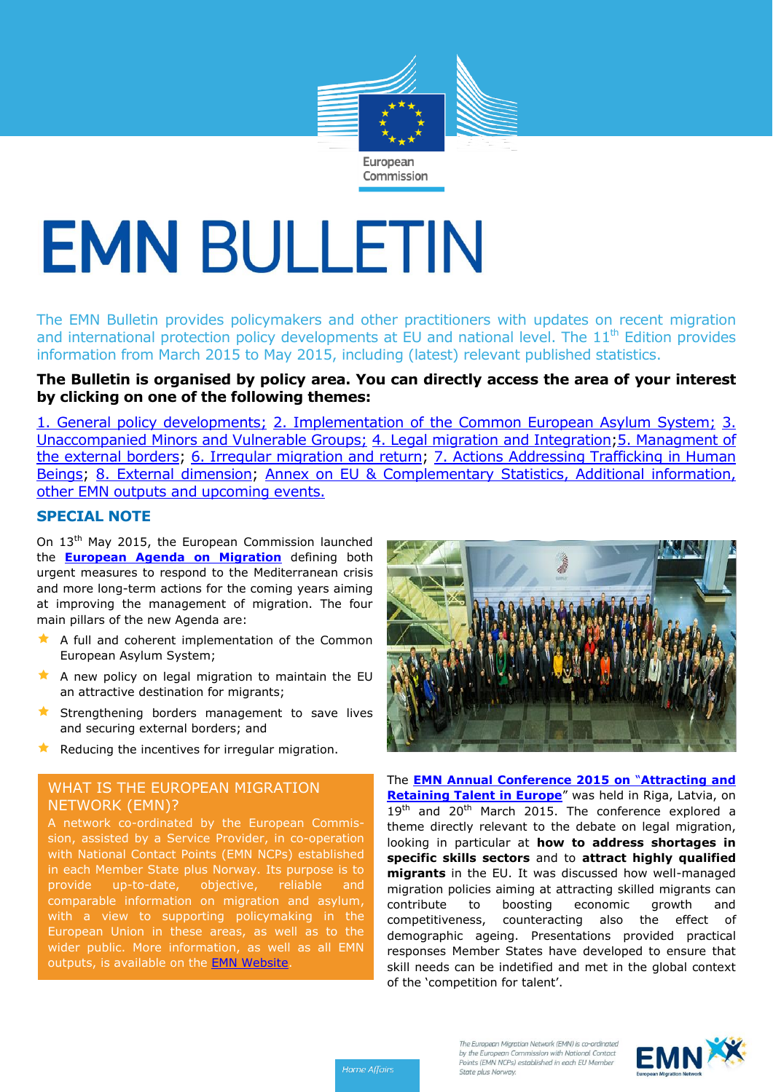

# **EMN BULLETIN**

The EMN Bulletin provides policymakers and other practitioners with updates on recent migration and international protection policy developments at EU and national level. The  $11<sup>th</sup>$  Edition provides information from March 2015 to May 2015, including (latest) relevant published statistics.

# **The Bulletin is organised by policy area. You can directly access the area of your interest by clicking on one of the following themes:**

[1. General policy developments;](#page-1-0) [2. Implementation of the Common European Asylum System;](#page-1-1) [3.](#page-2-0)  [Unaccompanied Minors and Vulnerable Groups;](#page-2-0) [4. Legal migration and Integration](#page-3-0)[;5. Managment of](#page-4-0)  [the external borders;](#page-4-0) [6. Irregular migration and return;](#page-5-0) [7. Actions Addressing Trafficking in Human](#page-6-0)  [Beings;](#page-6-0) [8. External dimension;](#page-7-0) Annex on EU & Complementary Statistics, Additional information, [other EMN outputs and upcoming events.](#page-8-0)

## **SPECIAL NOTE**

On 13<sup>th</sup> May 2015, the European Commission launched the **[European Agenda on Migration](http://ec.europa.eu/dgs/home-affairs/what-we-do/policies/european-agenda-migration/background-information/docs/communication_on_the_european_agenda_on_migration_en.pdf)** defining both urgent measures to respond to the Mediterranean crisis and more long-term actions for the coming years aiming at improving the management of migration. The four main pillars of the new Agenda are:

- A full and coherent implementation of the Common European Asylum System;
- $\star$  A new policy on legal migration to maintain the EU an attractive destination for migrants;
- $\star$  Strengthening borders management to save lives and securing external borders; and
- Reducing the incentives for irregular migration.

## WHAT IS THE EUROPEAN MIGRATION NETWORK (EMN)?

A network co-ordinated by the European Commission, assisted by a Service Provider, in co-operation with National Contact Points (EMN NCPs) established in each Member State plus Norway. Its purpose is to provide up-to-date, objective, reliable and comparable information on migration and asylum, with a view to supporting policymaking in the European Union in these areas, as well as to the wider public. More information, as well as all EMN outputs, is available on [the](http://www.emn.europa.eu/) **EMN Website**.



The **[EMN Annual Conference 2015 on](http://ec.europa.eu/dgs/home-affairs/what-we-do/networks/european_migration_network/reports/docs/emn-studies/emn_conference_2015_conclusions_final_24_april_2015.pdf)** "**Attracting and [Retaining Talent in Europe](http://ec.europa.eu/dgs/home-affairs/what-we-do/networks/european_migration_network/reports/docs/emn-studies/emn_conference_2015_conclusions_final_24_april_2015.pdf)**" was held in Riga, Latvia, on 19<sup>th</sup> and 20<sup>th</sup> March 2015. The conference explored a theme directly relevant to the debate on legal migration, looking in particular at **how to address shortages in specific skills sectors** and to **attract highly qualified migrants** in the EU. It was discussed how well-managed migration policies aiming at attracting skilled migrants can contribute to boosting economic growth and competitiveness, counteracting also the effect of demographic ageing. Presentations provided practical responses Member States have developed to ensure that skill needs can be indetified and met in the global context of the 'competition for talent'.



Home Affairs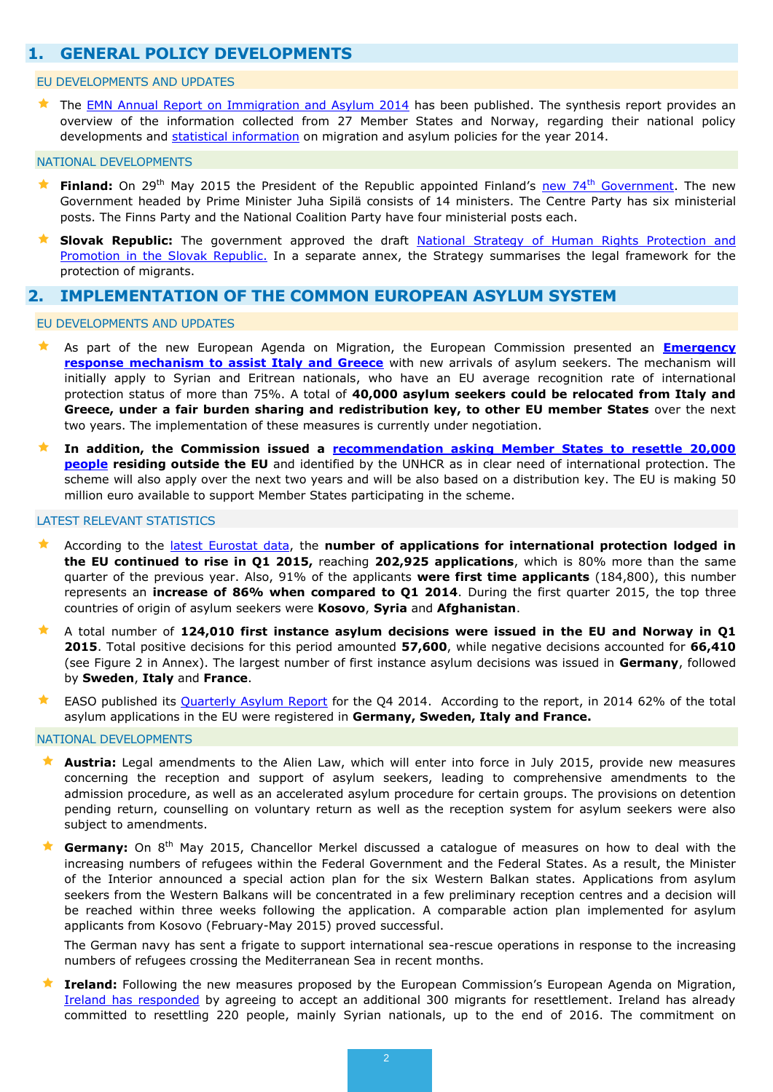# <span id="page-1-0"></span>**1. GENERAL POLICY DEVELOPMENTS**

#### EU DEVELOPMENTS AND UPDATES

The **[EMN Annual Report on Immigration and Asylum 2014](http://ec.europa.eu/dgs/home-affairs/what-we-do/networks/european_migration_network/reports/docs/annual-policy/2014/00.emn_annual_report_on_immigration_and_asylum_synthesis_report.pdf)** has been published. The synthesis report provides an overview of the information collected from 27 Member States and Norway, regarding their national policy developments and [statistical information](http://ec.europa.eu/dgs/home-affairs/what-we-do/networks/european_migration_network/reports/docs/annual-policy/2014/00.emn_annual_report_on_immigration_and_asylum_statistics_annex.pdf) on migration and asylum policies for the year 2014.

#### NATIONAL DEVELOPMENTS

- **Finland:** On 29<sup>th</sup> May 2015 the President of the Republic appointed Finland's new 74<sup>th</sup> [Government.](http://vnk.fi/en/article/-/asset_publisher/sipilan-hallitus-nimitettiin) The new Government headed by Prime Minister Juha Sipilä consists of 14 ministers. The Centre Party has six ministerial posts. The Finns Party and the National Coalition Party have four ministerial posts each.
- **Slovak Republic:** The government approved the draft National Strategy of Human Rights Protection and [Promotion in the Slovak Republic.](http://www.rokovania.sk/Rokovanie.aspx/BodRokovaniaDetail?idMaterial=24253) In a separate annex, the Strategy summarises the legal framework for the protection of migrants.

## <span id="page-1-1"></span>**2. IMPLEMENTATION OF THE COMMON EUROPEAN ASYLUM SYSTEM**

EU DEVELOPMENTS AND UPDATES

- As part of the new European Agenda on Migration, the European Commission presented an **[Emergency](http://ec.europa.eu/dgs/home-affairs/e-library/documents/policies/asylum/general/docs/proposal_for_a_council_decision_on_provisional_relocation_measures_for_italy_and_greece_en.pdf)  [response mechanism to assist Italy and Greece](http://ec.europa.eu/dgs/home-affairs/e-library/documents/policies/asylum/general/docs/proposal_for_a_council_decision_on_provisional_relocation_measures_for_italy_and_greece_en.pdf)** with new arrivals of asylum seekers. The mechanism will initially apply to Syrian and Eritrean nationals, who have an EU average recognition rate of international protection status of more than 75%. A total of **40,000 asylum seekers could be relocated from Italy and Greece, under a fair burden sharing and redistribution key, to other EU member States** over the next two years. The implementation of these measures is currently under negotiation.
- **In addition, the Commission issued a [recommendation asking Member States to resettle 20,000](http://ec.europa.eu/dgs/home-affairs/e-library/documents/policies/asylum/general/docs/recommendation_on_a_european_resettlement_scheme_en.pdf)  [people](http://ec.europa.eu/dgs/home-affairs/e-library/documents/policies/asylum/general/docs/recommendation_on_a_european_resettlement_scheme_en.pdf) residing outside the EU** and identified by the UNHCR as in clear need of international protection. The scheme will also apply over the next two years and will be also based on a distribution key. The EU is making 50 million euro available to support Member States participating in the scheme.

#### LATEST RELEVANT STATISTICS

- According to the [latest Eurostat data,](http://ec.europa.eu/eurostat/statistics-explained/index.php/Asylum_quarterly_report) the **number of applications for international protection lodged in the EU continued to rise in Q1 2015,** reaching **202,925 applications**, which is 80% more than the same quarter of the previous year. Also, 91% of the applicants **were first time applicants** (184,800), this number represents an **increase of 86% when compared to Q1 2014**. During the first quarter 2015, the top three countries of origin of asylum seekers were **Kosovo**, **Syria** and **Afghanistan**.
- A total number of **124,010 first instance asylum decisions were issued in the EU and Norway in Q1 2015**. Total positive decisions for this period amounted **57,600**, while negative decisions accounted for **66,410** (see Figure 2 in Annex). The largest number of first instance asylum decisions was issued in **Germany**, followed by **Sweden**, **Italy** and **France**.
- EASO published its [Quarterly Asylum Report](https://easo.europa.eu/wp-content/uploads/Quarterly-Asylum-Report-Q4.pdf) for the Q4 2014. According to the report, in 2014 62% of the total asylum applications in the EU were registered in **Germany, Sweden, Italy and France.**

#### NATIONAL DEVELOPMENTS

- **Austria:** Legal amendments to the Alien Law, which will enter into force in July 2015, provide new measures concerning the reception and support of asylum seekers, leading to comprehensive amendments to the admission procedure, as well as an accelerated asylum procedure for certain groups. The provisions on detention pending return, counselling on voluntary return as well as the reception system for asylum seekers were also subject to amendments.
- **Germany:** On 8th May 2015, Chancellor Merkel discussed a catalogue of measures on how to deal with the increasing numbers of refugees within the Federal Government and the Federal States. As a result, the Minister of the Interior announced a special action plan for the six Western Balkan states. Applications from asylum seekers from the Western Balkans will be concentrated in a few preliminary reception centres and a decision will be reached within three weeks following the application. A comparable action plan implemented for asylum applicants from Kosovo (February-May 2015) proved successful.

The German navy has sent a frigate to support international sea-rescue operations in response to the increasing numbers of refugees crossing the Mediterranean Sea in recent months.

 **Ireland:** Following the new measures proposed by the European Commission's European Agenda on Migration, [Ireland has responded](http://www.justice.ie/en/JELR/Pages/PR15000139) by agreeing to accept an additional 300 migrants for resettlement. Ireland has already committed to resettling 220 people, mainly Syrian nationals, up to the end of 2016. The commitment on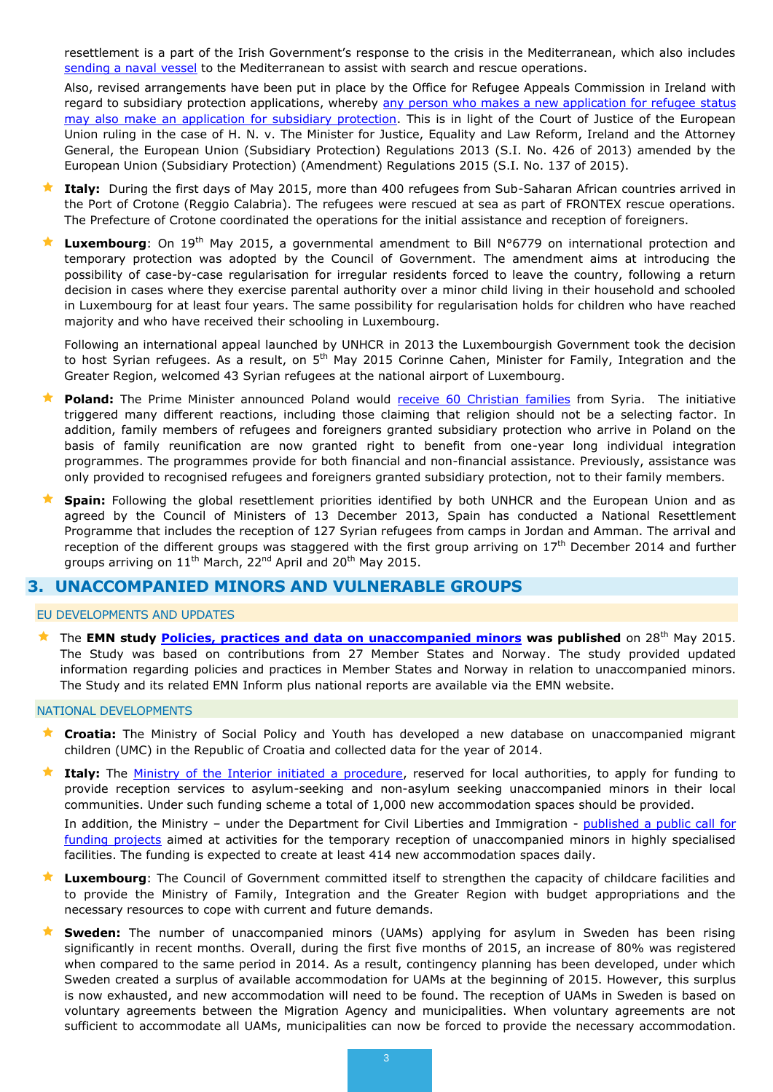resettlement is a part of the Irish Government's response to the crisis in the Mediterranean, which also includes [sending a naval vessel](http://www.defence.ie/WebSite.nsf/Release+ID/9969E8F8D41207C980257E4700284884?OpenDocument) to the Mediterranean to assist with search and rescue operations.

Also, revised arrangements have been put in place by the Office for Refugee Appeals Commission in Ireland with regard to subsidiary protection applications, whereby any person who makes a new application for refugee status [may also make an application for subsidiary protection.](http://www.orac.ie/website/orac/oracwebsite.nsf/page/subsidiaryprotection-mainpage-en) This is in light of the Court of Justice of the European Union ruling in the case of H. N. v. The Minister for Justice, Equality and Law Reform, Ireland and the Attorney General, the European Union (Subsidiary Protection) Regulations 2013 (S.I. No. 426 of 2013) amended by the European Union (Subsidiary Protection) (Amendment) Regulations 2015 (S.I. No. 137 of 2015).

- **Italy:** During the first days of May 2015, more than 400 refugees from Sub-Saharan African countries arrived in the Port of Crotone (Reggio Calabria). The refugees were rescued at sea as part of FRONTEX rescue operations. The Prefecture of Crotone coordinated the operations for the initial assistance and reception of foreigners.
- **Luxembourg**: On 19<sup>th</sup> May 2015, a governmental amendment to Bill N°6779 on international protection and temporary protection was adopted by the Council of Government. The amendment aims at introducing the possibility of case-by-case regularisation for irregular residents forced to leave the country, following a return decision in cases where they exercise parental authority over a minor child living in their household and schooled in Luxembourg for at least four years. The same possibility for regularisation holds for children who have reached majority and who have received their schooling in Luxembourg.

Following an international appeal launched by UNHCR in 2013 the Luxembourgish Government took the decision to host Syrian refugees. As a result, on 5<sup>th</sup> May 2015 Corinne Cahen, Minister for Family, Integration and the Greater Region, welcomed 43 Syrian refugees at the national airport of Luxembourg.

- **Poland:** The Prime Minister announced Poland would [receive 60 Christian families](https://www.premier.gov.pl/en/news/news/prime-minister-ewa-kopacz-poland-will-accept-60-families-from-the-conflict-torn-syria.html) from Syria. The initiative triggered many different reactions, including those claiming that religion should not be a selecting factor. In addition, family members of refugees and foreigners granted subsidiary protection who arrive in Poland on the basis of family reunification are now granted right to benefit from one-year long individual integration programmes. The programmes provide for both financial and non-financial assistance. Previously, assistance was only provided to recognised refugees and foreigners granted subsidiary protection, not to their family members.
- **Spain:** Following the global resettlement priorities identified by both UNHCR and the European Union and as agreed by the Council of Ministers of 13 December 2013, Spain has conducted a National Resettlement Programme that includes the reception of 127 Syrian refugees from camps in Jordan and Amman. The arrival and reception of the different groups was staggered with the first group arriving on  $17<sup>th</sup>$  December 2014 and further groups arriving on  $11<sup>th</sup>$  March, 22<sup>nd</sup> April and 20<sup>th</sup> May 2015.

## <span id="page-2-0"></span>**3. UNACCOMPANIED MINORS AND VULNERABLE GROUPS**

#### EU DEVELOPMENTS AND UPDATES

 The **EMN study [Policies, practices and data on unaccompanied minors](http://ec.europa.eu/dgs/home-affairs/what-we-do/networks/european_migration_network/reports/docs/emn-studies/emn_study_policies_practices_and_data_on_unaccompanied_minors_in_the_eu_member_states_and_norway_synthesis_report_final_eu_2015.pdf) was published** on 28th May 2015. The Study was based on contributions from 27 Member States and Norway. The study provided updated information regarding policies and practices in Member States and Norway in relation to unaccompanied minors. The Study and its related EMN Inform plus national reports are available via the EMN website.

#### NATIONAL DEVELOPMENTS

- **Croatia:** The Ministry of Social Policy and Youth has developed a new database on unaccompanied migrant children (UMC) in the Republic of Croatia and collected data for the year of 2014.
- **★ Italy:** The **Ministry of the Interior initiated a procedure**, reserved for local authorities, to apply for funding to provide reception services to asylum-seeking and non-asylum seeking unaccompanied minors in their local communities. Under such funding scheme a total of 1,000 new accommodation spaces should be provided.

In addition, the Ministry - under the Department for Civil Liberties and Immigration - published a public call for [funding projects](http://www.integrazionemigranti.gov.it/Attualita/News/Pagine/Avviso2.aspx) aimed at activities for the temporary reception of unaccompanied minors in highly specialised facilities. The funding is expected to create at least 414 new accommodation spaces daily.

- **Luxembourg**: The Council of Government committed itself to strengthen the capacity of childcare facilities and to provide the Ministry of Family, Integration and the Greater Region with budget appropriations and the necessary resources to cope with current and future demands.
- **Sweden:** The number of unaccompanied minors (UAMs) applying for asylum in Sweden has been rising significantly in recent months. Overall, during the first five months of 2015, an increase of 80% was registered when compared to the same period in 2014. As a result, contingency planning has been developed, under which Sweden created a surplus of available accommodation for UAMs at the beginning of 2015. However, this surplus is now exhausted, and new accommodation will need to be found. The reception of UAMs in Sweden is based on voluntary agreements between the Migration Agency and municipalities. When voluntary agreements are not sufficient to accommodate all UAMs, municipalities can now be forced to provide the necessary accommodation.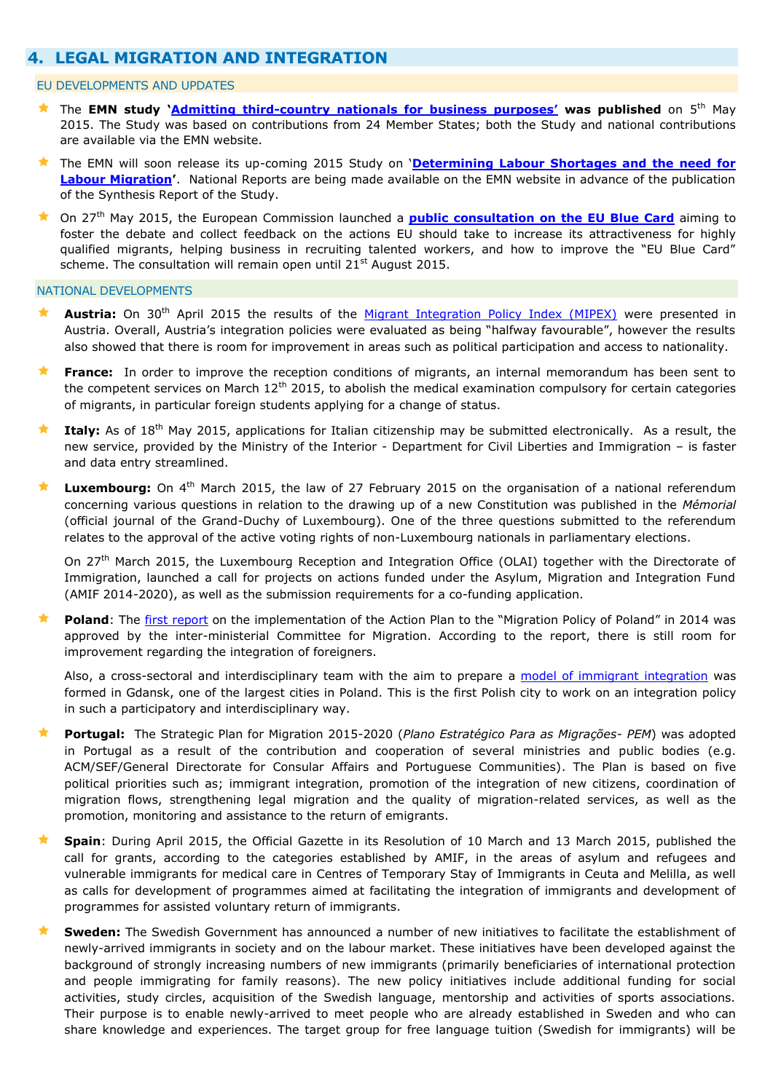# <span id="page-3-0"></span>**4. LEGAL MIGRATION AND INTEGRATION**

#### EU DEVELOPMENTS AND UPDATES

- The **EMN study '[Admitting third-country nationals for business purposes](http://ec.europa.eu/dgs/home-affairs/what-we-do/networks/european_migration_network/reports/docs/emn-studies/emn_study_admitting_third_country_nationals_for_business_purposes_synthesis_report_04may2015.pdf)' was published** on 5th May 2015. The Study was based on contributions from 24 Member States; both the Study and national contributions are available via the EMN website.
- The EMN will soon release its up-coming 2015 Study on '**[Determining Labour Shortages and the need for](http://ec.europa.eu/dgs/home-affairs/what-we-do/networks/european_migration_network/reports/studies/results/economic-migration/index_en.htm)  [Labour Migration](http://ec.europa.eu/dgs/home-affairs/what-we-do/networks/european_migration_network/reports/studies/results/economic-migration/index_en.htm)'**. National Reports are being made available on the EMN website in advance of the publication of the Synthesis Report of the Study.
- On 27th May 2015, the European Commission launched a **[public consultation on the EU Blue Card](http://ec.europa.eu/dgs/home-affairs/what-is-new/public-consultation/2015/consulting_0029_en.htm)** aiming to foster the debate and collect feedback on the actions EU should take to increase its attractiveness for highly qualified migrants, helping business in recruiting talented workers, and how to improve the "EU Blue Card" scheme. The consultation will remain open until  $21<sup>st</sup>$  August 2015.

#### NATIONAL DEVELOPMENTS

- Austria: On 30<sup>th</sup> April 2015 the results of the [Migrant Integration Policy Index \(MIPEX\)](http://www.mipex.eu/) were presented in Austria. Overall, Austria's integration policies were evaluated as being "halfway favourable", however the results also showed that there is room for improvement in areas such as political participation and access to nationality.
- **France:** In order to improve the reception conditions of migrants, an internal memorandum has been sent to the competent services on March 12<sup>th</sup> 2015, to abolish the medical examination compulsory for certain categories of migrants, in particular foreign students applying for a change of status.
- **Italy:** As of 18th May 2015, applications for Italian citizenship may be submitted electronically. As a result, the new service, provided by the Ministry of the Interior - Department for Civil Liberties and Immigration – is faster and data entry streamlined.
- Luxembourg: On 4<sup>th</sup> March 2015, the law of 27 February 2015 on the organisation of a national referendum concerning various questions in relation to the drawing up of a new Constitution was published in the *Mémorial*  (official journal of the Grand-Duchy of Luxembourg). One of the three questions submitted to the referendum relates to the approval of the active voting rights of non-Luxembourg nationals in parliamentary elections.

On 27<sup>th</sup> March 2015, the Luxembourg Reception and Integration Office (OLAI) together with the Directorate of Immigration, launched a call for projects on actions funded under the Asylum, Migration and Integration Fund (AMIF 2014-2020), as well as the submission requirements for a co-funding application.

 **Poland**: The [first report](file:///J:/EUR/DG%20HOME%20EMN%20Service%20Provider%202014_2017/Workstream%20IV%20Dissemination%20and%20liaison/IV.3.%20Visibility%20and%20dissemination/EMN%20Bulletin/EMN%20Bulletin%2011%202015/Bulletin/•https:/emn.gov.pl/esm/aktualnosci/12618,Przyjeto-sprawozdanie-z-realizacji-Planu-wdrazania-dla-Polityka-migracyjna-Polsk.html) on the implementation of the Action Plan to the "Migration Policy of Poland" in 2014 was approved by the inter-ministerial Committee for Migration. According to the report, there is still room for improvement regarding the integration of foreigners.

Also, a cross-sectoral and interdisciplinary team with the aim to prepare a [model of immigrant integration](https://ec.europa.eu/migrant-integration/news/poland-a-team-for-immigrant-integration-is-being-formed-in-gdansk) was formed in Gdansk, one of the largest cities in Poland. This is the first Polish city to work on an integration policy in such a participatory and interdisciplinary way.

- **Portugal:** The Strategic Plan for Migration 2015-2020 (*Plano Estratégico Para as Migrações- PEM*) was adopted in Portugal as a result of the contribution and cooperation of several ministries and public bodies (e.g. ACM/SEF/General Directorate for Consular Affairs and Portuguese Communities). The Plan is based on five political priorities such as; immigrant integration, promotion of the integration of new citizens, coordination of migration flows, strengthening legal migration and the quality of migration-related services, as well as the promotion, monitoring and assistance to the return of emigrants.
- **Spain**: During April 2015, the Official Gazette in its Resolution of 10 March and 13 March 2015, published the call for grants, according to the categories established by AMIF, in the areas of asylum and refugees and vulnerable immigrants for medical care in Centres of Temporary Stay of Immigrants in Ceuta and Melilla, as well as calls for development of programmes aimed at facilitating the integration of immigrants and development of programmes for assisted voluntary return of immigrants.
- **Sweden:** The Swedish Government has announced a number of new initiatives to facilitate the establishment of newly-arrived immigrants in society and on the labour market. These initiatives have been developed against the background of strongly increasing numbers of new immigrants (primarily beneficiaries of international protection and people immigrating for family reasons). The new policy initiatives include additional funding for social activities, study circles, acquisition of the Swedish language, mentorship and activities of sports associations. Their purpose is to enable newly-arrived to meet people who are already established in Sweden and who can share knowledge and experiences. The target group for free language tuition (Swedish for immigrants) will be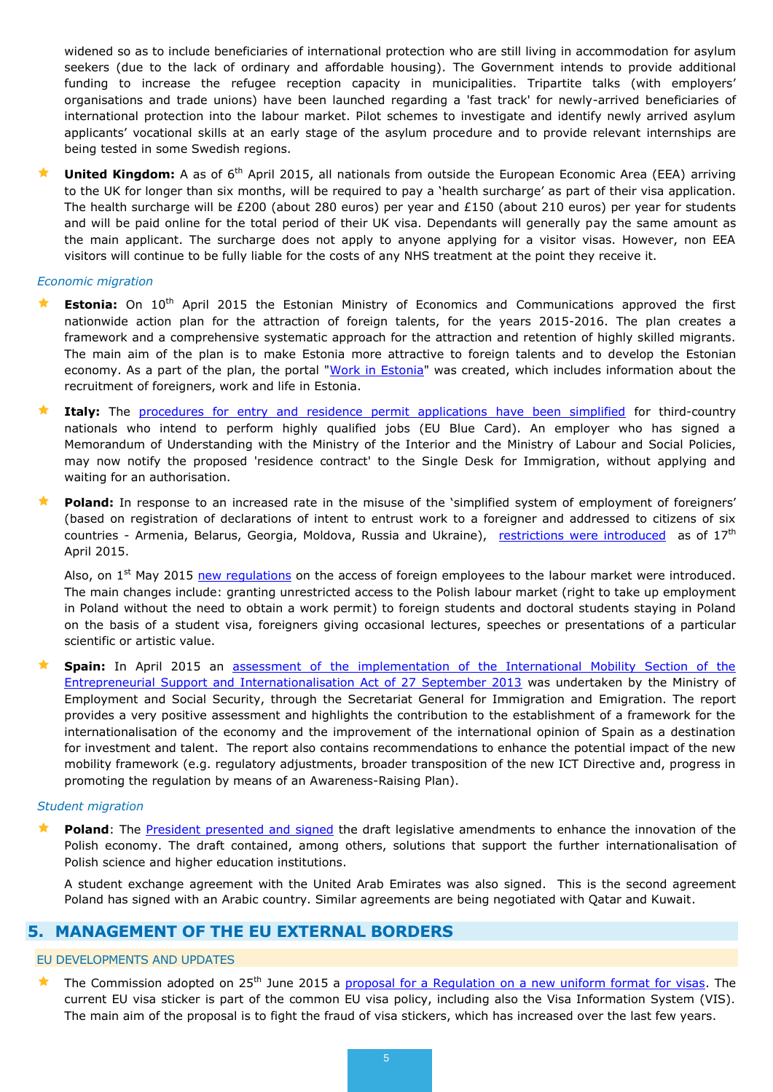widened so as to include beneficiaries of international protection who are still living in accommodation for asylum seekers (due to the lack of ordinary and affordable housing). The Government intends to provide additional funding to increase the refugee reception capacity in municipalities. Tripartite talks (with employers' organisations and trade unions) have been launched regarding a 'fast track' for newly-arrived beneficiaries of international protection into the labour market. Pilot schemes to investigate and identify newly arrived asylum applicants' vocational skills at an early stage of the asylum procedure and to provide relevant internships are being tested in some Swedish regions.

★ United Kingdom: A as of 6<sup>th</sup> April 2015, all nationals from outside the European Economic Area (EEA) arriving to the UK for longer than six months, will be required to pay a 'health surcharge' as part of their visa application. The health surcharge will be £200 (about 280 euros) per year and £150 (about 210 euros) per year for students and will be paid online for the total period of their UK visa. Dependants will generally pay the same amount as the main applicant. The surcharge does not apply to anyone applying for a visitor visas. However, non EEA visitors will continue to be fully liable for the costs of any NHS treatment at the point they receive it.

#### *Economic migration*

- **Estonia:** On 10<sup>th</sup> April 2015 the Estonian Ministry of Economics and Communications approved the first nationwide action plan for the attraction of foreign talents, for the years 2015-2016. The plan creates a framework and a comprehensive systematic approach for the attraction and retention of highly skilled migrants. The main aim of the plan is to make Estonia more attractive to foreign talents and to develop the Estonian economy. As a part of the plan, the portal ["Work in Estonia"](http://www.workinestonia.com/) was created, which includes information about the recruitment of foreigners, work and life in Estonia.
- **Italy:** The [procedures for entry and residence permit applications have been simplified](http://www.interno.gov.it/it/notizie/carta-blu-ue-semplifica-procedura-rilascio) for third-country nationals who intend to perform highly qualified jobs (EU Blue Card). An employer who has signed a Memorandum of Understanding with the Ministry of the Interior and the Ministry of Labour and Social Policies, may now notify the proposed 'residence contract' to the Single Desk for Immigration, without applying and waiting for an authorisation.
- **Poland:** In response to an increased rate in the misuse of the 'simplified system of employment of foreigners' (based on registration of declarations of intent to entrust work to a foreigner and addressed to citizens of six countries - Armenia, Belarus, Georgia, Moldova, Russia and Ukraine), [restrictions were introduced](https://www.emn.gov.pl/ese/news/12510,Tightening-of-the-rules-of-registering-employer-declarations-in-Warsaw.html) as of 17<sup>th</sup> April 2015.

Also, on  $1^{st}$  May 2015 [new regulations](https://ec.europa.eu/migrant-integration/news/poland-new-regulations-on-employment-of-foreigners) on the access of foreign employees to the labour market were introduced. The main changes include: granting unrestricted access to the Polish labour market (right to take up employment in Poland without the need to obtain a work permit) to foreign students and doctoral students staying in Poland on the basis of a student visa, foreigners giving occasional lectures, speeches or presentations of a particular scientific or artistic value.

 **Spain:** In April 2015 an [assessment of the implementation of the International Mobility Section of the](http://extranjeros.empleo.gob.es/es/UnidadGrandesEmpresas/ley14_2013/documentacion/Informe_anual_de_la_Seccion_de_Movilidad_de_la_ley_14_2013.pdf)  [Entrepreneurial Support and Internationalisation Act of 27 September 2013](http://extranjeros.empleo.gob.es/es/UnidadGrandesEmpresas/ley14_2013/documentacion/Informe_anual_de_la_Seccion_de_Movilidad_de_la_ley_14_2013.pdf) was undertaken by the Ministry of Employment and Social Security, through the Secretariat General for Immigration and Emigration. The report provides a very positive assessment and highlights the contribution to the establishment of a framework for the internationalisation of the economy and the improvement of the international opinion of Spain as a destination for investment and talent. The report also contains recommendations to enhance the potential impact of the new mobility framework (e.g. regulatory adjustments, broader transposition of the new ICT Directive and, progress in promoting the regulation by means of an Awareness-Raising Plan).

#### *Student migration*

**Poland**: The [President presented and signed](https://emn.gov.pl/ese/news/12514,Polish-President-opts-for-the-internationalization-of-Polish-higher-education.html) the draft legislative amendments to enhance the innovation of the Polish economy. The draft contained, among others, solutions that support the further internationalisation of Polish science and higher education institutions.

A student exchange agreement with the United Arab Emirates was also signed. This is the second agreement Poland has signed with an Arabic country. Similar agreements are being negotiated with Qatar and Kuwait.

## <span id="page-4-0"></span>**5. MANAGEMENT OF THE EU EXTERNAL BORDERS**

## EU DEVELOPMENTS AND UPDATES

The Commission adopted on 25<sup>th</sup> June 2015 a [proposal for a Regulation on a new uniform format for visas.](http://ec.europa.eu/dgs/home-affairs/e-library/documents/policies/borders-and-visas/visa-policy/docs/uniform_format_for_visas_regulation_proposal_en.pdf) The current EU visa sticker is part of the common EU visa policy, including also the Visa Information System (VIS). The main aim of the proposal is to fight the fraud of visa stickers, which has increased over the last few years.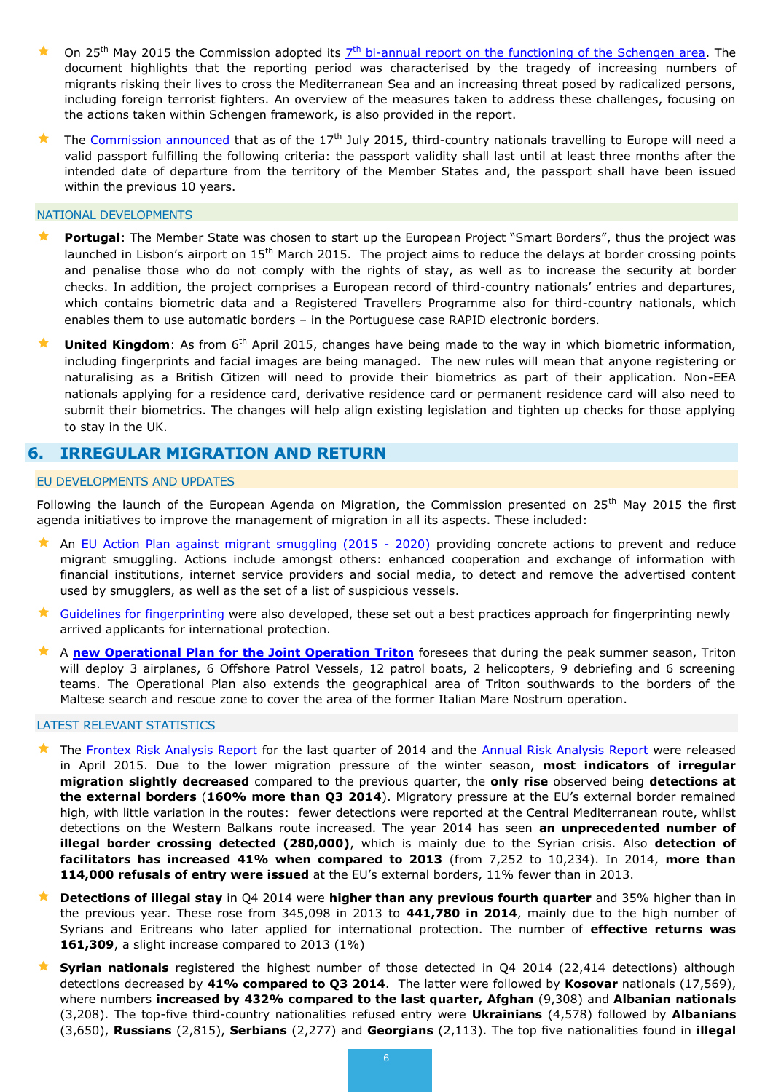- ★ On 25<sup>th</sup> May 2015 the Commission adopted its  $7<sup>th</sup>$  bi-annual report on the functioning of the Schengen area</u>. The document highlights that the reporting period was characterised by the tragedy of increasing numbers of migrants risking their lives to cross the Mediterranean Sea and an increasing threat posed by radicalized persons, including foreign terrorist fighters. An overview of the measures taken to address these challenges, focusing on the actions taken within Schengen framework, is also provided in the report.
- The [Commission announced](http://ec.europa.eu/dgs/home-affairs/what-is-new/news/news/2013/20130717_01_en.htm) that as of the 17<sup>th</sup> July 2015, third-country nationals travelling to Europe will need a valid passport fulfilling the following criteria: the passport validity shall last until at least three months after the intended date of departure from the territory of the Member States and, the passport shall have been issued within the previous 10 years.

#### NATIONAL DEVELOPMENTS

- Portugal: The Member State was chosen to start up the European Project "Smart Borders", thus the project was launched in Lisbon's airport on 15<sup>th</sup> March 2015. The project aims to reduce the delays at border crossing points and penalise those who do not comply with the rights of stay, as well as to increase the security at border checks. In addition, the project comprises a European record of third-country nationals' entries and departures, which contains biometric data and a Registered Travellers Programme also for third-country nationals, which enables them to use automatic borders – in the Portuguese case RAPID electronic borders.
- **United Kingdom**: As from 6<sup>th</sup> April 2015, changes have being made to the way in which biometric information, including fingerprints and facial images are being managed. The new rules will mean that anyone registering or naturalising as a British Citizen will need to provide their biometrics as part of their application. Non-EEA nationals applying for a residence card, derivative residence card or permanent residence card will also need to submit their biometrics. The changes will help align existing legislation and tighten up checks for those applying to stay in the UK.

## <span id="page-5-0"></span>**6. IRREGULAR MIGRATION AND RETURN**

#### EU DEVELOPMENTS AND UPDATES

Following the launch of the European Agenda on Migration, the Commission presented on 25<sup>th</sup> May 2015 the first agenda initiatives to improve the management of migration in all its aspects. These included:

- An [EU Action Plan against migrant smuggling \(2015 -](http://ec.europa.eu/dgs/home-affairs/e-library/documents/policies/asylum/general/docs/eu_action_plan_against_migrant_smuggling_en.pdf) 2020) providing concrete actions to prevent and reduce migrant smuggling. Actions include amongst others: enhanced cooperation and exchange of information with financial institutions, internet service providers and social media, to detect and remove the advertised content used by smugglers, as well as the set of a list of suspicious vessels.
- [Guidelines for fingerprinting](http://ec.europa.eu/dgs/home-affairs/e-library/documents/policies/asylum/general/docs/guidelines_on_the_implementation_of_eu_rules_on_the_obligation_to_take_fingerprints_en.pdf) were also developed, these set out a best practices approach for fingerprinting newly arrived applicants for international protection.
- A **[new Operational Plan for the Joint Operation Triton](http://frontex.europa.eu/news/frontex-expands-its-joint-operation-triton-udpbHP)** foresees that during the peak summer season, Triton will deploy 3 airplanes, 6 Offshore Patrol Vessels, 12 patrol boats, 2 helicopters, 9 debriefing and 6 screening teams. The Operational Plan also extends the geographical area of Triton southwards to the borders of the Maltese search and rescue zone to cover the area of the former Italian Mare Nostrum operation.

#### LATEST RELEVANT STATISTICS

- The [Frontex Risk Analysis Report](http://frontex.europa.eu/assets/Publications/Risk_Analysis/FRAN_Q4_2014.pdf) for the last quarter of 2014 and the [Annual Risk Analysis Report](http://frontex.europa.eu/assets/Publications/Risk_Analysis/Annual_Risk_Analysis_2015.pdf) were released in April 2015. Due to the lower migration pressure of the winter season, **most indicators of irregular migration slightly decreased** compared to the previous quarter, the **only rise** observed being **detections at the external borders** (**160% more than Q3 2014**). Migratory pressure at the EU's external border remained high, with little variation in the routes: fewer detections were reported at the Central Mediterranean route, whilst detections on the Western Balkans route increased. The year 2014 has seen **an unprecedented number of illegal border crossing detected (280,000)**, which is mainly due to the Syrian crisis. Also **detection of facilitators has increased 41% when compared to 2013** (from 7,252 to 10,234). In 2014, **more than 114,000 refusals of entry were issued** at the EU's external borders, 11% fewer than in 2013.
- **Detections of illegal stay** in Q4 2014 were **higher than any previous fourth quarter** and 35% higher than in the previous year. These rose from 345,098 in 2013 to **441,780 in 2014**, mainly due to the high number of Syrians and Eritreans who later applied for international protection. The number of **effective returns was 161,309**, a slight increase compared to 2013 (1%)
- **Syrian nationals** registered the highest number of those detected in Q4 2014 (22,414 detections) although detections decreased by **41% compared to Q3 2014**. The latter were followed by **Kosovar** nationals (17,569), where numbers **increased by 432% compared to the last quarter, Afghan** (9,308) and **Albanian nationals** (3,208). The top-five third-country nationalities refused entry were **Ukrainians** (4,578) followed by **Albanians** (3,650), **Russians** (2,815), **Serbians** (2,277) and **Georgians** (2,113). The top five nationalities found in **illegal**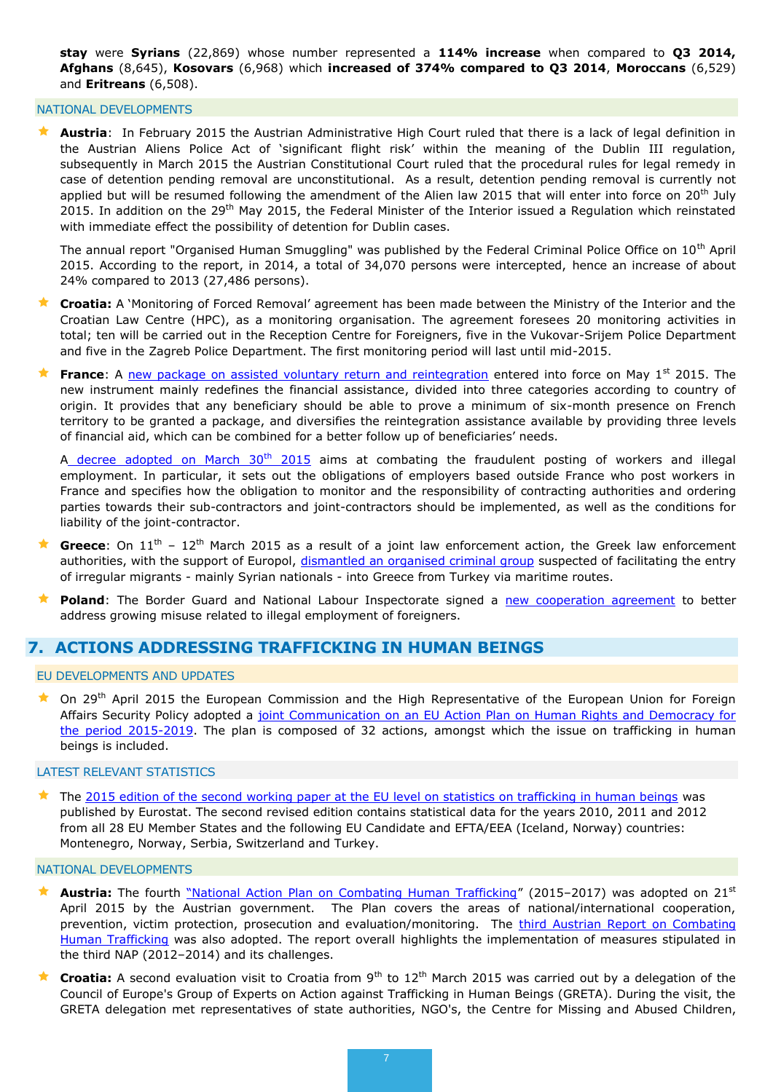**stay** were **Syrians** (22,869) whose number represented a **114% increase** when compared to **Q3 2014, Afghans** (8,645), **Kosovars** (6,968) which **increased of 374% compared to Q3 2014**, **Moroccans** (6,529) and **Eritreans** (6,508).

#### NATIONAL DEVELOPMENTS

 **Austria**: In February 2015 the Austrian Administrative High Court ruled that there is a lack of legal definition in the Austrian Aliens Police Act of 'significant flight risk' within the meaning of the Dublin III regulation, subsequently in March 2015 the Austrian Constitutional Court ruled that the procedural rules for legal remedy in case of detention pending removal are unconstitutional. As a result, detention pending removal is currently not applied but will be resumed following the amendment of the Alien law 2015 that will enter into force on 20<sup>th</sup> July 2015. In addition on the 29<sup>th</sup> May 2015, the Federal Minister of the Interior issued a Regulation which reinstated with immediate effect the possibility of detention for Dublin cases.

The annual report "Organised Human Smuggling" was published by the Federal Criminal Police Office on  $10<sup>th</sup>$  April 2015. According to the report, in 2014, a total of 34,070 persons were intercepted, hence an increase of about 24% compared to 2013 (27,486 persons).

- **Croatia:** A 'Monitoring of Forced Removal' agreement has been made between the Ministry of the Interior and the Croatian Law Centre (HPC), as a monitoring organisation. The agreement foresees 20 monitoring activities in total; ten will be carried out in the Reception Centre for Foreigners, five in the Vukovar-Srijem Police Department and five in the Zagreb Police Department. The first monitoring period will last until mid-2015.
- **France**: A [new package on assisted voluntary return and reintegration](http://legifrance.gouv.fr/eli/arrete/2015/4/17/INTV1508770A/jo/texte) entered into force on May 1<sup>st</sup> 2015. The new instrument mainly redefines the financial assistance, divided into three categories according to country of origin. It provides that any beneficiary should be able to prove a minimum of six-month presence on French territory to be granted a package, and diversifies the reintegration assistance available by providing three levels of financial aid, which can be combined for a better follow up of beneficiaries' needs.

A [decree adopted on March 30](http://www.legifrance.gouv.fr/affichTexte.do?cidTexte=JORFTEXT000030419658&categorieLien=id)<sup>th</sup> 2015</u> aims at combating the fraudulent posting of workers and illegal employment. In particular, it sets out the obligations of employers based outside France who post workers in France and specifies how the obligation to monitor and the responsibility of contracting authorities and ordering parties towards their sub-contractors and joint-contractors should be implemented, as well as the conditions for liability of the joint-contractor.

- Greece: On 11<sup>th</sup> 12<sup>th</sup> March 2015 as a result of a joint law enforcement action, the Greek law enforcement authorities, with the support of Europol, [dismantled an organised criminal group](https://www.europol.europa.eu/newsletter/joint-law-enforcement-action-tackle-people-smuggling-network-greece) suspected of facilitating the entry of irregular migrants - mainly Syrian nationals - into Greece from Turkey via maritime routes.
- **Poland**: The Border Guard and National Labour Inspectorate signed a [new cooperation agreement](https://emn.gov.pl/esm/aktualnosci/12580,Jeszcze-szersza-wspolpraca-miedzy-PIP-i-SG.html) to better address growing misuse related to illegal employment of foreigners.

## <span id="page-6-0"></span>**7. ACTIONS ADDRESSING TRAFFICKING IN HUMAN BEINGS**

#### EU DEVELOPMENTS AND UPDATES

<sup>\*</sup> On 29<sup>th</sup> April 2015 the European Commission and the High Representative of the European Union for Foreign Affairs Security Policy adopted a joint Communication on an EU Action Plan on Human Rights and Democracy for [the period 2015-2019.](http://ec.europa.eu/europeaid/sites/devco/files/joint-communication-ap-human-rights-and-democracy_en.pdf) The plan is composed of 32 actions, amongst which the issue on trafficking in human beings is included.

#### LATEST RELEVANT STATISTICS

 $\star$  The [2015 edition of the second working paper at the EU level on statistics on trafficking in human beings](http://ec.europa.eu/anti-trafficking/sites/antitrafficking/files/eurostat_report_on_trafficking_in_human_beings_-_2015_edition.pdf) was published by Eurostat. The second revised edition contains statistical data for the years 2010, 2011 and 2012 from all 28 EU Member States and the following EU Candidate and EFTA/EEA (Iceland, Norway) countries: Montenegro, Norway, Serbia, Switzerland and Turkey.

#### NATIONAL DEVELOPMENTS

- Austria: The fourth ["National Action Plan on Combating Human Trafficking"](http://www.bmeia.gv.at/fileadmin/user_upload/Zentrale/Aussenpolitik/Menschenrechte/Nationaler_Aktionsplan_2015-2017.pdf) (2015-2017) was adopted on 21<sup>st</sup> April 2015 by the Austrian government. The Plan covers the areas of national/international cooperation, prevention, victim protection, prosecution and evaluation/monitoring. The third Austrian Report on Combating [Human Trafficking](http://www.bmeia.gv.at/fileadmin/user_upload/Zentrale/Aussenpolitik/Menschenrechte/3_Oesterreichischer_Bericht_2012-2014.pdf) was also adopted. The report overall highlights the implementation of measures stipulated in the third NAP (2012–2014) and its challenges.
- **Croatia:** A second evaluation visit to Croatia from 9<sup>th</sup> to 12<sup>th</sup> March 2015 was carried out by a delegation of the Council of Europe's Group of Experts on Action against Trafficking in Human Beings (GRETA). During the visit, the GRETA delegation met representatives of state authorities, NGO's, the Centre for Missing and Abused Children,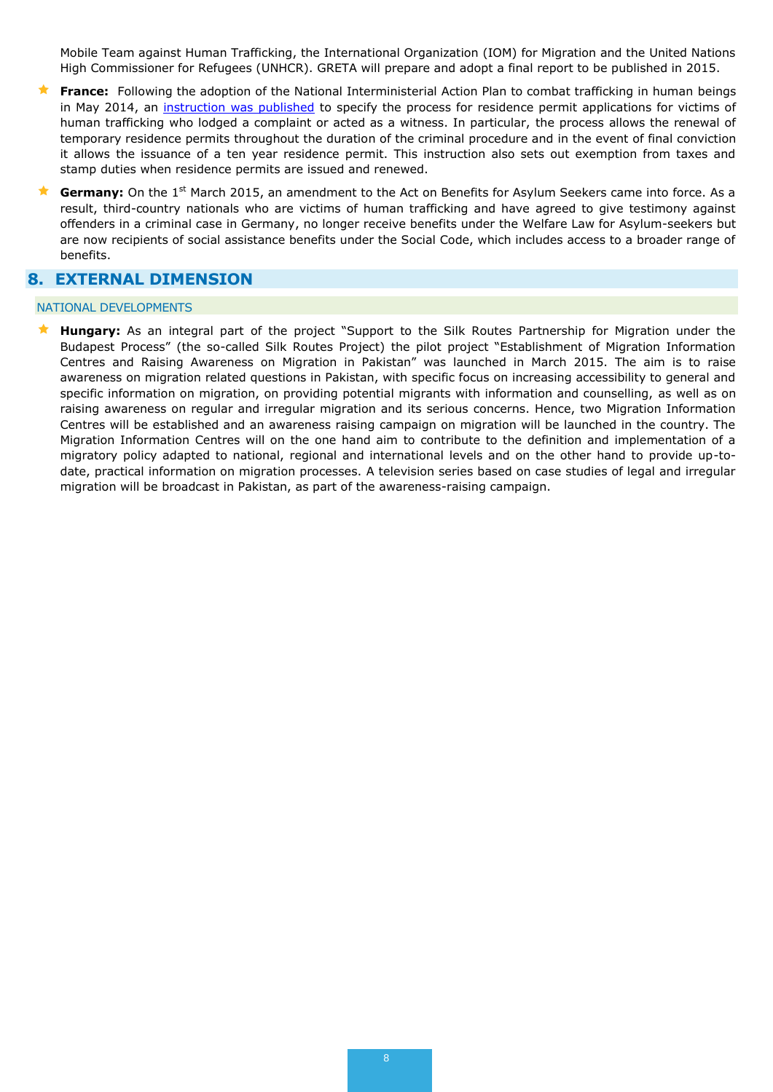Mobile Team against Human Trafficking, the International Organization (IOM) for Migration and the United Nations High Commissioner for Refugees (UNHCR). GRETA will prepare and adopt a final report to be published in 2015.

- **France:** Following the adoption of the National Interministerial Action Plan to combat trafficking in human beings in May 2014, an [instruction was published](http://circulaires.legifrance.gouv.fr/pdf/2015/05/cir_39619.pdf) to specify the process for residence permit applications for victims of human trafficking who lodged a complaint or acted as a witness. In particular, the process allows the renewal of temporary residence permits throughout the duration of the criminal procedure and in the event of final conviction it allows the issuance of a ten year residence permit. This instruction also sets out exemption from taxes and stamp duties when residence permits are issued and renewed.
- **Germany:** On the 1<sup>st</sup> March 2015, an amendment to the Act on Benefits for Asylum Seekers came into force. As a result, third-country nationals who are victims of human trafficking and have agreed to give testimony against offenders in a criminal case in Germany, no longer receive benefits under the Welfare Law for Asylum-seekers but are now recipients of social assistance benefits under the Social Code, which includes access to a broader range of benefits.

# <span id="page-7-0"></span>**8. EXTERNAL DIMENSION**

#### NATIONAL DEVELOPMENTS

 **Hungary:** As an integral part of the project "Support to the Silk Routes Partnership for Migration under the Budapest Process" (the so-called Silk Routes Project) the pilot project "Establishment of Migration Information Centres and Raising Awareness on Migration in Pakistan" was launched in March 2015. The aim is to raise awareness on migration related questions in Pakistan, with specific focus on increasing accessibility to general and specific information on migration, on providing potential migrants with information and counselling, as well as on raising awareness on regular and irregular migration and its serious concerns. Hence, two Migration Information Centres will be established and an awareness raising campaign on migration will be launched in the country. The Migration Information Centres will on the one hand aim to contribute to the definition and implementation of a migratory policy adapted to national, regional and international levels and on the other hand to provide up-todate, practical information on migration processes. A television series based on case studies of legal and irregular migration will be broadcast in Pakistan, as part of the awareness-raising campaign.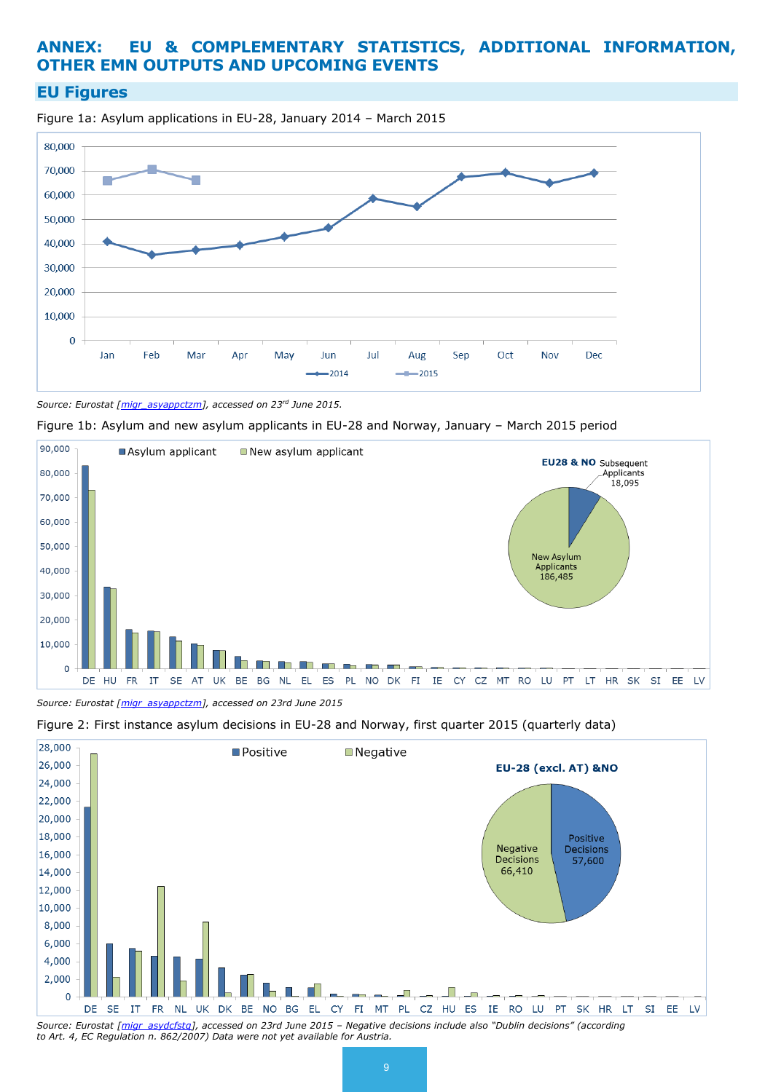# <span id="page-8-0"></span>**ANNEX: EU & COMPLEMENTARY STATISTICS, ADDITIONAL INFORMATION, OTHER EMN OUTPUTS AND UPCOMING EVENTS**

# **EU Figures**

Figure 1a: Asylum applications in EU-28, January 2014 – March 2015



*Source: Eurostat [\[migr\\_asyappctzm\]](http://appsso.eurostat.ec.europa.eu/nui/show.do?query=BOOKMARK_DS-055296_QID_-4CD2F9C0_UID_-3F171EB0&layout=TIME,C,X,0;GEO,L,Y,0;CITIZEN,L,Z,0;SEX,L,Z,1;AGE,L,Z,2;ASYL_APP,L,Z,3;UNIT,L,Z,4;INDICATORS,C,Z,5;&zSelection=DS-055296UNIT,PER;DS-055296SEX,T;DS-055296ASYL_APP,ASY_APP;DS-055296CITIZEN,TOTAL;DS-055296INDICATORS,OBS_FLAG;DS-055296AGE,TOTAL;&rankName1=TIME_1_0_0_0&rankName2=UNIT_1_2_-1_2&rankName3=GEO_1_2_0_1&rankName4=AGE_1_2_-1_2&rankName5=CITIZEN_1_2_-1_2&rankName6=INDICATORS_1_2_-1_2&rankName7=ASYL-APP_1_2_-1_2&rankName8=SEX_1_2_-1_2&ppcRK=FIRST&ppcSO=ASC&sortC=ASC_-1_FIRST&rStp=&cStp=&rDCh=&cDCh=&rDM=true&cDM=true&footnes=false&empty=false&wai=false&time_mode=NONE&time_most_recent=false&lang=EN&cfo=%23%23%23%2C%23%23%23.%23%23%23), accessed on 23rd June 2015.*





*Source: Eurostat [\[migr\\_asyappctzm\]](http://appsso.eurostat.ec.europa.eu/nui/show.do?query=BOOKMARK_DS-055296_QID_-4CD2F9C0_UID_-3F171EB0&layout=TIME,C,X,0;GEO,L,Y,0;CITIZEN,L,Z,0;SEX,L,Z,1;AGE,L,Z,2;ASYL_APP,L,Z,3;UNIT,L,Z,4;INDICATORS,C,Z,5;&zSelection=DS-055296UNIT,PER;DS-055296SEX,T;DS-055296ASYL_APP,ASY_APP;DS-055296CITIZEN,TOTAL;DS-055296INDICATORS,OBS_FLAG;DS-055296AGE,TOTAL;&rankName1=TIME_1_0_0_0&rankName2=UNIT_1_2_-1_2&rankName3=GEO_1_2_0_1&rankName4=AGE_1_2_-1_2&rankName5=CITIZEN_1_2_-1_2&rankName6=INDICATORS_1_2_-1_2&rankName7=ASYL-APP_1_2_-1_2&rankName8=SEX_1_2_-1_2&ppcRK=FIRST&ppcSO=ASC&sortC=ASC_-1_FIRST&rStp=&cStp=&rDCh=&cDCh=&rDM=true&cDM=true&footnes=false&empty=false&wai=false&time_mode=NONE&time_most_recent=false&lang=EN&cfo=%23%23%23%2C%23%23%23.%23%23%23), accessed on 23rd June 2015*





*Source: Eurostat [\[migr\\_asydcfstq\]](http://appsso.eurostat.ec.europa.eu/nui/show.do?query=BOOKMARK_DS-055298_QID_267B067D_UID_-3F171EB0&layout=TIME,C,X,0;GEO,L,Y,0;CITIZEN,L,Z,0;SEX,L,Z,1;AGE,L,Z,2;DECISION,L,Z,3;UNIT,L,Z,4;INDICATORS,C,Z,5;&zSelection=DS-055298CITIZEN,TOTAL;DS-055298INDICATORS,OBS_FLAG;DS-055298UNIT,PER;DS-055298SEX,T;DS-055298DECISION,TOTAL;DS-055298AGE,TOTAL;&rankName1=TIME_1_0_0_0&rankName2=UNIT_1_2_-1_2&rankName3=GEO_1_2_0_1&rankName4=AGE_1_2_-1_2&rankName5=DECISION_1_2_-1_2&rankName6=CITIZEN_1_2_-1_2&rankName7=INDICATORS_1_2_-1_2&rankName8=SEX_1_2_-1_2&sortC=ASC_-1_FIRST&rStp=&cStp=&rDCh=&cDCh=&rDM=true&cDM=true&footnes=false&empty=false&wai=false&time_mode=NONE&time_most_recent=false&lang=EN&cfo=%23%23%23%2C%23%23%23.%23%23%23), accessed on 23rd June 2015 – Negative decisions include also "Dublin decisions" (according to Art. 4, EC Regulation n. 862/2007) Data were not yet available for Austria.*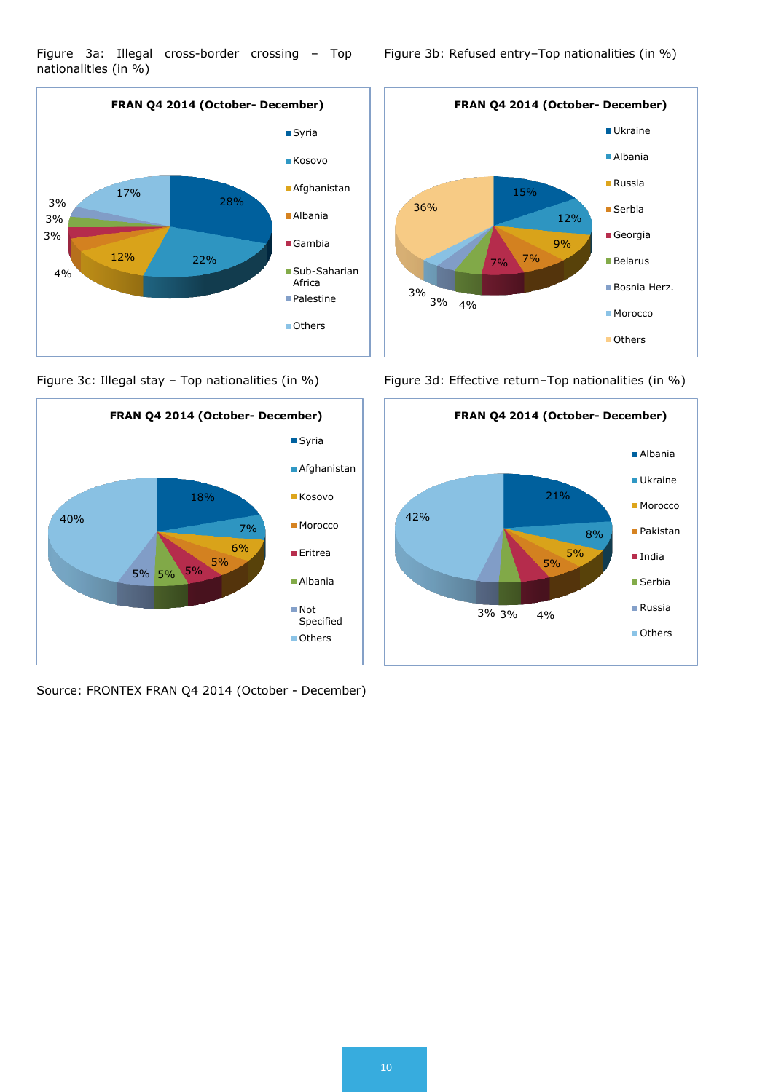



Source: FRONTEX FRAN Q4 2014 (October - December)

Figure 3b: Refused entry–Top nationalities (in %)



Figure 3c: Illegal stay - Top nationalities (in %) Figure 3d: Effective return-Top nationalities (in %)

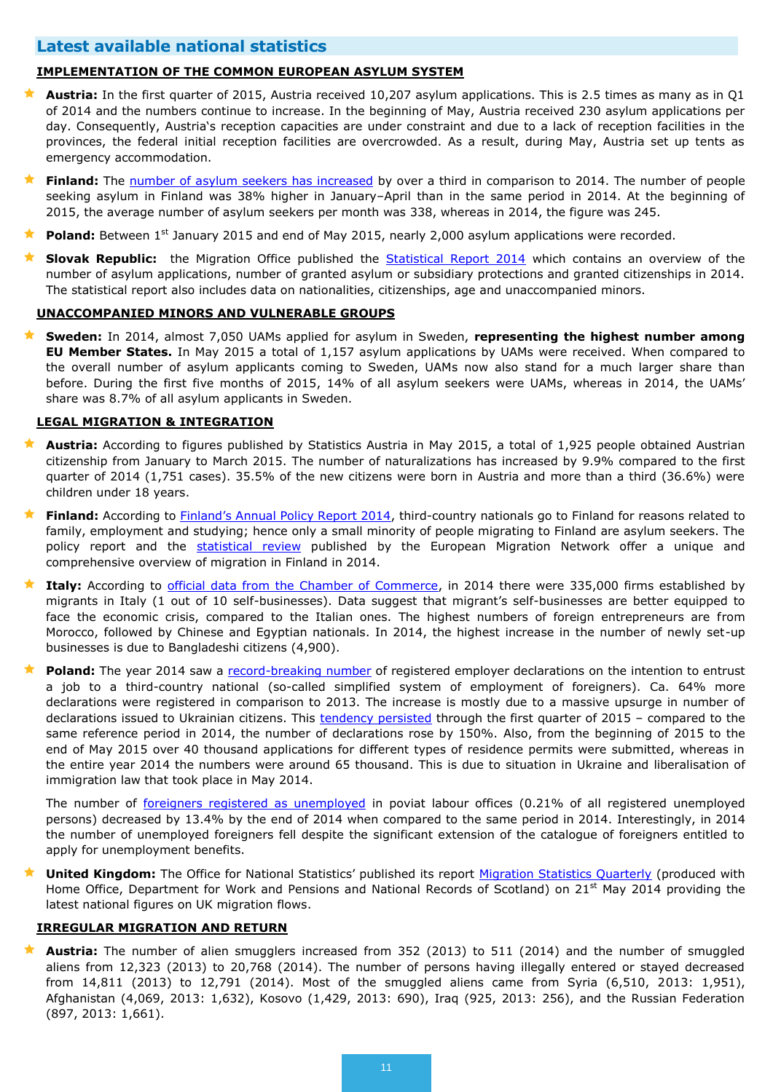# **Latest available national statistics**

#### **IMPLEMENTATION OF THE COMMON EUROPEAN ASYLUM SYSTEM**

- **Austria:** In the first quarter of 2015, Austria received 10,207 asylum applications. This is 2.5 times as many as in Q1 of 2014 and the numbers continue to increase. In the beginning of May, Austria received 230 asylum applications per day. Consequently, Austria's reception capacities are under constraint and due to a lack of reception facilities in the provinces, the federal initial reception facilities are overcrowded. As a result, during May, Austria set up tents as emergency accommodation.
- **Finland:** The [number of asylum seekers has increased](http://www.migri.fi/for_the_media/bulletins/press_releases/press_releases/1/0/the_number_of_asylum_seekers_has_increased_by_over_a_third_from_last_year_59918) by over a third in comparison to 2014. The number of people seeking asylum in Finland was 38% higher in January–April than in the same period in 2014. At the beginning of 2015, the average number of asylum seekers per month was 338, whereas in 2014, the figure was 245.
- **Poland:** Between 1<sup>st</sup> January 2015 and end of May 2015, nearly 2,000 asylum applications were recorded.
- **Slovak Republic:** the Migration Office published the [Statistical Report 2014](http://www.minv.sk/?statistiky-20) which contains an overview of the number of asylum applications, number of granted asylum or subsidiary protections and granted citizenships in 2014. The statistical report also includes data on nationalities, citizenships, age and unaccompanied minors.

#### **UNACCOMPANIED MINORS AND VULNERABLE GROUPS**

 **Sweden:** In 2014, almost 7,050 UAMs applied for asylum in Sweden, **representing the highest number among EU Member States.** In May 2015 a total of 1,157 asylum applications by UAMs were received. When compared to the overall number of asylum applicants coming to Sweden, UAMs now also stand for a much larger share than before. During the first five months of 2015, 14% of all asylum seekers were UAMs, whereas in 2014, the UAMs' share was 8.7% of all asylum applicants in Sweden.

#### **LEGAL MIGRATION & INTEGRATION**

- **Austria:** According to figures published by Statistics Austria in May 2015, a total of 1,925 people obtained Austrian citizenship from January to March 2015. The number of naturalizations has increased by 9.9% compared to the first quarter of 2014 (1,751 cases). 35.5% of the new citizens were born in Austria and more than a third (36.6%) were children under 18 years.
- **Finland:** According to [Finland's Annual Policy Report 2014](http://ec.europa.eu/dgs/home-affairs/what-we-do/networks/european_migration_network/reports/docs/annual-policy/2014/09a_finland_apr2014_part2_final_english_and_finnish.pdf), third-country nationals go to Finland for reasons related to family, employment and studying; hence only a small minority of people migrating to Finland are asylum seekers. The policy report and the **[statistical review](http://www.emn.fi/files/1166/EMN_Key_Figures_on_Immigration_2014.pdf)** published by the European Migration Network offer a unique and comprehensive overview of migration in Finland in 2014.
- ★ Italy: According to [official data from the Chamber of Commerce,](http://www.integrazionemigranti.gov.it/Attualita/News/Pagine/Unioncamere.aspx) in 2014 there were 335,000 firms established by migrants in Italy (1 out of 10 self-businesses). Data suggest that migrant's self-businesses are better equipped to face the economic crisis, compared to the Italian ones. The highest numbers of foreign entrepreneurs are from Morocco, followed by Chinese and Egyptian nationals. In 2014, the highest increase in the number of newly set-up businesses is due to Bangladeshi citizens (4,900).
- **Poland:** The year 2014 saw a [record-breaking number](https://emn.gov.pl/ese/news/12512,The-year-2014-saw-a-record-breaking-number-of-registered-employer-declarations.html) of registered employer declarations on the intention to entrust a job to a third-country national (so-called simplified system of employment of foreigners). Ca. 64% more declarations were registered in comparison to 2013. The increase is mostly due to a massive upsurge in number of declarations issued to Ukrainian citizens. This [tendency persisted](https://www.emn.gov.pl/esm/aktualnosci/12592,Utrzymuje-sie-wysoka-liczba-rejestrowanych-oswiadczen-pracodawcow.html) through the first quarter of 2015 - compared to the same reference period in 2014, the number of declarations rose by 150%. Also, from the beginning of 2015 to the end of May 2015 over 40 thousand applications for different types of residence permits were submitted, whereas in the entire year 2014 the numbers were around 65 thousand. This is due to situation in Ukraine and liberalisation of immigration law that took place in May 2014.

The number of [foreigners registered as unemployed](https://emn.gov.pl/ese/news/12509,The-number-of-unemployed-foreigners-is-on-decline.html) in poviat labour offices (0.21% of all registered unemployed persons) decreased by 13.4% by the end of 2014 when compared to the same period in 2014. Interestingly, in 2014 the number of unemployed foreigners fell despite the significant extension of the catalogue of foreigners entitled to apply for unemployment benefits.

 **United Kingdom:** The Office for National Statistics' published its report [Migration Statistics Quarterly](http://www.ons.gov.uk/ons/rel/migration1/migration-statistics-quarterly-report/may-2015/index.html) (produced with Home Office, Department for Work and Pensions and National Records of Scotland) on 21<sup>st</sup> May 2014 providing the latest national figures on UK migration flows.

#### **IRREGULAR MIGRATION AND RETURN**

 **Austria:** The number of alien smugglers increased from 352 (2013) to 511 (2014) and the number of smuggled aliens from 12,323 (2013) to 20,768 (2014). The number of persons having illegally entered or stayed decreased from 14,811 (2013) to 12,791 (2014). Most of the smuggled aliens came from Syria (6,510, 2013: 1,951), Afghanistan (4,069, 2013: 1,632), Kosovo (1,429, 2013: 690), Iraq (925, 2013: 256), and the Russian Federation (897, 2013: 1,661).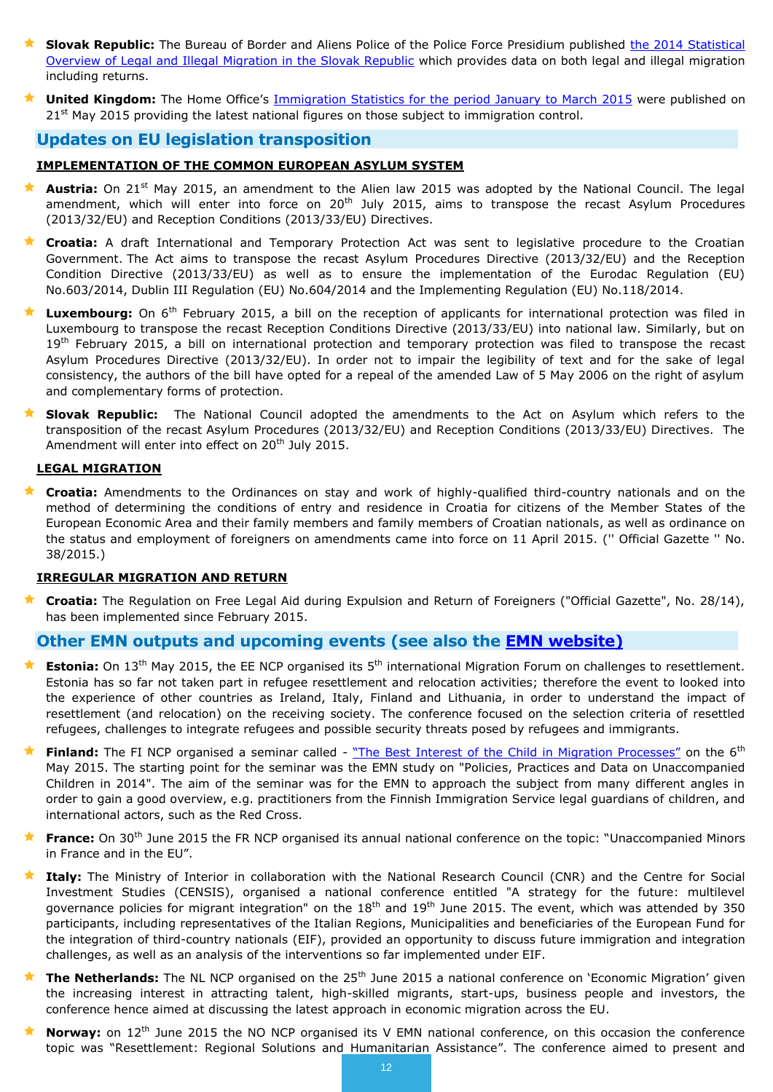- **Slovak Republic:** The Bureau of Border and Aliens Police of the Police Force Presidium published the 2014 Statistical [Overview of Legal and Illegal Migration in the Slovak Republic](http://www.minv.sk/swift_data/source/policia/uhcp/rocenky/rok_2014/Annual_Statistical_Overview_of_Legal_and_Illegal_Migration_in_the_Slovak_Republic_2014.pdf) which provides data on both legal and illegal migration including returns.
- **United Kingdom:** The Home Office's *[Immigration Statistics for the period January to March 2015](https://www.gov.uk/government/statistics/immigration-statistics-january-to-march-2015)* were published on 21<sup>st</sup> May 2015 providing the latest national figures on those subject to immigration control.

## **Updates on EU legislation transposition**

### **IMPLEMENTATION OF THE COMMON EUROPEAN ASYLUM SYSTEM**

- Austria: On 21<sup>st</sup> May 2015, an amendment to the Alien law 2015 was adopted by the National Council. The legal amendment, which will enter into force on 20<sup>th</sup> July 2015, aims to transpose the recast Asylum Procedures (2013/32/EU) and Reception Conditions (2013/33/EU) Directives.
- **Croatia:** A draft International and Temporary Protection Act was sent to legislative procedure to the Croatian Government. The Act aims to transpose the recast Asylum Procedures Directive (2013/32/EU) and the Reception Condition Directive (2013/33/EU) as well as to ensure the implementation of the Eurodac Regulation (EU) No.603/2014, Dublin III Regulation (EU) No.604/2014 and the Implementing Regulation (EU) No.118/2014.
- Luxembourg: On 6<sup>th</sup> February 2015, a bill on the reception of applicants for international protection was filed in Luxembourg to transpose the recast Reception Conditions Directive (2013/33/EU) into national law. Similarly, but on 19<sup>th</sup> February 2015, a bill on international protection and temporary protection was filed to transpose the recast Asylum Procedures Directive (2013/32/EU). In order not to impair the legibility of text and for the sake of legal consistency, the authors of the bill have opted for a repeal of the amended Law of 5 May 2006 on the right of asylum and complementary forms of protection.
- **Slovak Republic:** The National Council adopted the amendments to the Act on Asylum which refers to the transposition of the recast Asylum Procedures (2013/32/EU) and Reception Conditions (2013/33/EU) Directives. The Amendment will enter into effect on 20<sup>th</sup> July 2015.

#### **LEGAL MIGRATION**

 **Croatia:** Amendments to the Ordinances on stay and work of highly-qualified third-country nationals and on the method of determining the conditions of entry and residence in Croatia for citizens of the Member States of the European Economic Area and their family members and family members of Croatian nationals, as well as ordinance on the status and employment of foreigners on amendments came into force on 11 April 2015. ('' Official Gazette '' No. 38/2015.)

#### **IRREGULAR MIGRATION AND RETURN**

 **Croatia:** The Regulation on Free Legal Aid during Expulsion and Return of Foreigners ("Official Gazette", No. 28/14), has been implemented since February 2015.

## **Other EMN outputs and upcoming events (see also the [EMN website\)](http://ec.europa.eu/dgs/home-affairs/what-we-do/networks/european_migration_network/events/index_en.htm)**

- **Estonia:** On 13<sup>th</sup> May 2015, the EE NCP organised its 5<sup>th</sup> international Migration Forum on challenges to resettlement. Estonia has so far not taken part in refugee resettlement and relocation activities; therefore the event to looked into the experience of other countries as Ireland, Italy, Finland and Lithuania, in order to understand the impact of resettlement (and relocation) on the receiving society. The conference focused on the selection criteria of resettled refugees, challenges to integrate refugees and possible security threats posed by refugees and immigrants.
- Finland: The FI NCP organised a seminar called ["The Best Interest of the Child in Migration Processes"](http://www.emn.fi/ajankohtaista/summary_-_emn-seminar_on_the_best_interest_of_the_child_in_migration_processes) on the 6<sup>th</sup> May 2015. The starting point for the seminar was the EMN study on "Policies, Practices and Data on Unaccompanied Children in 2014". The aim of the seminar was for the EMN to approach the subject from many different angles in order to gain a good overview, e.g. practitioners from the Finnish Immigration Service legal guardians of children, and international actors, such as the Red Cross.
- **France:** On 30th June 2015 the FR NCP organised its annual national conference on the topic: "Unaccompanied Minors in France and in the EU".
- **Italy:** The Ministry of Interior in collaboration with the National Research Council (CNR) and the Centre for Social Investment Studies (CENSIS), organised a national conference entitled "A strategy for the future: multilevel governance policies for migrant integration" on the  $18<sup>th</sup>$  and  $19<sup>th</sup>$  June 2015. The event, which was attended by 350 participants, including representatives of the Italian Regions, Municipalities and beneficiaries of the European Fund for the integration of third-country nationals (EIF), provided an opportunity to discuss future immigration and integration challenges, as well as an analysis of the interventions so far implemented under EIF.
- **The Netherlands:** The NL NCP organised on the 25<sup>th</sup> June 2015 a national conference on 'Economic Migration' given the increasing interest in attracting talent, high-skilled migrants, start-ups, business people and investors, the conference hence aimed at discussing the latest approach in economic migration across the EU.
- **Norway:** on 12<sup>th</sup> June 2015 the NO NCP organised its V EMN national conference, on this occasion the conference topic was "Resettlement: Regional Solutions and Humanitarian Assistance". The conference aimed to present and